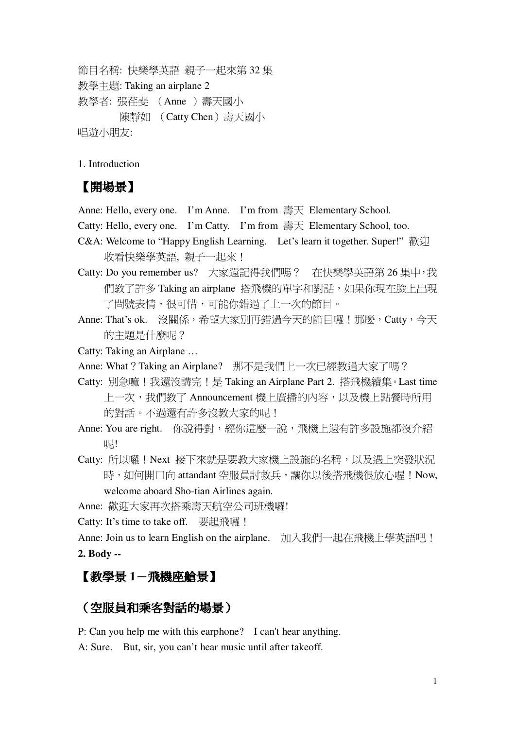節目名稱: 快樂學英語 親子一起來第 32 集 教學主題: Taking an airplane 2 教學者: 張荏斐 (Anne) 壽天國小 陳靜如 (Catty Chen)壽天國小 唱游小朋友:

1. Introduction

## 【開場景】

Anne: Hello, every one. I'm Anne. I'm from 壽天 Elementary School.

Catty: Hello, every one. I'm Catty. I'm from  $\equiv \equiv \pm 1$  Elementary School, too.

- C&A: Welcome to "Happy English Learning. Let's learn it together. Super!" 歡迎 收看快樂學英語,親子一起來!
- Catty: Do you remember us? 大家還記得我們嗎? 在快樂學英語第 26 集中,我 們教了許多 Taking an airplane 搭飛機的單字和對話,如果你現在臉上出現 了問號表情,很可惜,可能你錯過了上一次的節目。
- Anne: That's ok. 沒關係,希望大家別再錯過今天的節目囉!那麼,Catty,今天 的主題是什麼呢?

Catty: Taking an Airplane …

- Anne: What ? Taking an Airplane? 那不是我們上一次已經教過大家了嗎?
- Catty: 別急嘛!我還沒講完!是 Taking an Airplane Part 2. 搭飛機續集。Last time 上一次,我們教了 Announcement 機上廣播的內容,以及機上點餐時所用 的對話。不渦還有許多沒教大家的呢!
- Anne: You are right. 你說得對,經你這麼一說,飛機上還有許多設施都沒介紹 呢!
- Catty: 所以囉!Next 接下來就是要教大家機上設施的名稱,以及遇上突發狀況 時,如何開口向 attandant 空服員討救兵,讓你以後搭飛機很放心喔! Now, welcome aboard Sho-tian Airlines again.

Anne: 歡迎大家再次搭乘壽天航空公司班機囉!

Catty: It's time to take off. 要起飛囉 !

Anne: Join us to learn English on the airplane. 加入我們一起在飛機上學英語吧! **2. Body --**

### 【教學景 1-飛機座艙景】

#### (空服員和乘客對話的場景)

P: Can you help me with this earphone? I can't hear anything.

A: Sure. But, sir, you can't hear music until after takeoff.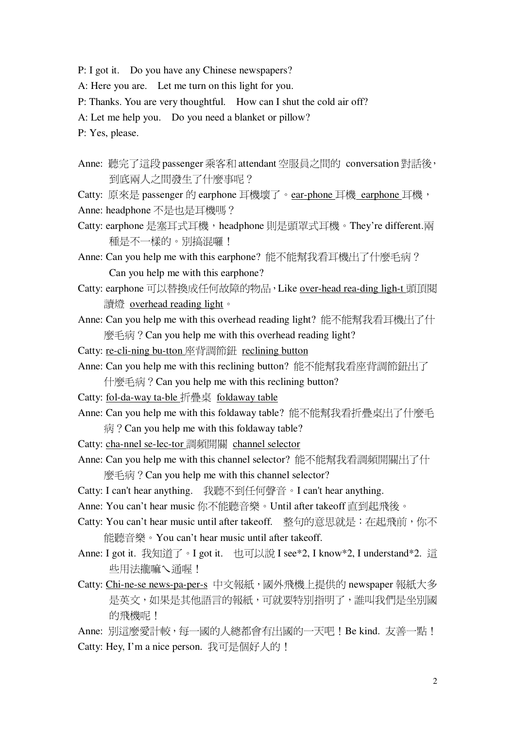- P: I got it. Do you have any Chinese newspapers?
- A: Here you are. Let me turn on this light for you.

P: Thanks. You are very thoughtful. How can I shut the cold air off?

A: Let me help you. Do you need a blanket or pillow?

P: Yes, please.

Anne: 聽完了這段 passenger 乘客和 attendant 空服員之間的 conversation 對話後, 到底兩人之間發生了什麼事呢?

Catty: 原來是 passenger 的 earphone 耳機壞了。ear-phone 耳機 earphone 耳機,

Anne: headphone 不是也是耳機嗎?

- Catty: earphone 是塞耳式耳機, headphone 則是頭罩式耳機。They're different.兩 種是不一樣的。別搞混囉!
- Anne: Can you help me with this earphone? 能不能幫我看耳機出了什麼毛病? Can you help me with this earphone?
- Catty: earphone 可以替換成任何故障的物品, Like over-head rea-ding ligh-t 頭頂閱 讀燈 overhead reading light。
- Anne: Can you help me with this overhead reading light? 能不能幫我看耳機出了什 麼毛病? Can you help me with this overhead reading light?
- Catty: re-cli-ning bu-tton 座背調節鈕 reclining button
- Anne: Can you help me with this reclining button? 能不能幫我看座背調節鈕出了 什麼毛病? Can you help me with this reclining button?
- Catty: fol-da-way ta-ble 折疊桌 foldaway table
- Anne: Can you help me with this foldaway table? 能不能幫我看折疊桌出了什麼毛  $\overline{\mathcal{R}}$ ? Can you help me with this foldaway table?
- Catty: cha-nnel se-lec-tor 調頻開關 channel selector
- Anne: Can you help me with this channel selector? 能不能幫我看調頻開關出了什 麼毛病? Can you help me with this channel selector?
- Catty: I can't hear anything. 我聽不到任何聲音。I can't hear anything.
- Anne: You can't hear music 你不能聽音樂。Until after takeoff 直到起飛後。
- 能聽音樂。You can't hear music until after takeoff.
- Anne: I got it. 我知道了。I got it. 也可以說 I see\*2, I know\*2, I understand\*2. 這 些用法攏嘛乀涌喔!
- Catty: Chi-ne-se news-pa-per-s 中文報紙, 國外飛機上提供的 newspaper 報紙大多 是英文,如果是其他語言的報紙,可就要特別指明了,誰叫我們是坐別國 的飛機呢!

Anne: 別這麼愛計較,每一國的人總都會有出國的一天吧! Be kind. 友善一點! Catty: Hey, I'm a nice person. 我可是個好人的!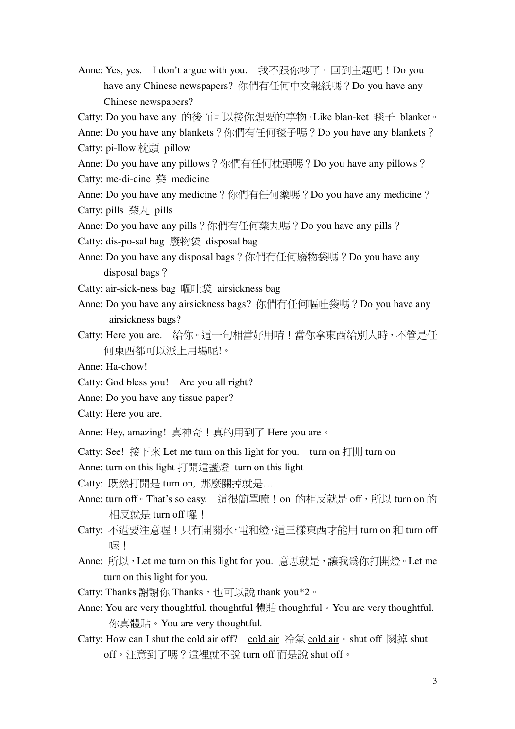Anne: Yes, yes. I don't argue with you. 我不跟你吵了。回到主題吧!Do you have any Chinese newspapers? 你們有任何中文報紙嗎? Do you have any Chinese newspapers?

Catty: Do you have any 的後面可以接你想要的事物。Like blan-ket 毯子 blanket。

Anne: Do you have any blankets? 你們有任何毯子嗎? Do you have any blankets? Catty: pi-llow 枕頭 pillow

Anne: Do you have any pillows ? 你們有任何枕頭嗎 ? Do you have any pillows ? Catty: me-di-cine 藥 medicine

Anne: Do you have any medicine? 你們有任何藥嗎? Do you have any medicine? Catty: pills 藥丸 pills

Anne: Do you have any pills? 你們有任何藥丸嗎? Do you have any pills?

Catty: dis-po-sal bag 廢物袋 disposal bag

Anne: Do you have any disposal bags? 你們有任何廢物袋嗎? Do you have any disposal bags?

Catty: air-sick-ness bag 嘔叶袋 airsickness bag

- Anne: Do you have any airsickness bags? 你們有任何嘔吐袋嗎? Do you have any airsickness bags?
- Catty: Here you are. 給你。這一句相當好用唷!當你拿東西給別人時,不管是任 何東西都可以派上用場呢!。
- Anne: Ha-chow!
- Catty: God bless you! Are you all right?
- Anne: Do you have any tissue paper?
- Catty: Here you are.
- Anne: Hey, amazing! 真神奇! 真的用到了 Here you are。

Catty: See! 接下來 Let me turn on this light for you. turn on 打開 turn on

Anne: turn on this light 打開這盞燈 turn on this light

Catty: 既然打開是 turn on. 那麼關掉就是...

- Anne: turn off。That's so easy. 這很簡單嘛! on 的相反就是 off,所以 turn on 的 相反就是 turn off 囉!
- Catty: 不過要注意喔!只有開關水, 雷和燈, 這三樣東西才能用 turn on 和 turn off 曝!
- Anne: 所以, Let me turn on this light for you. 意思就是, 讓我為你打開燈。 Let me turn on this light for you.
- Catty: Thanks 謝謝你 Thanks, 也可以說 thank you\*2。
- Anne: You are very thoughtful. thoughtful 體貼 thoughtful You are very thoughtful. 你真體貼。You are very thoughtful.
- Catty: How can I shut the cold air off? cold air 冷氣 cold air  $\circ$  shut off 關掉 shut off。注意到了嗎?這裡就不說 turn off 而是說 shut off。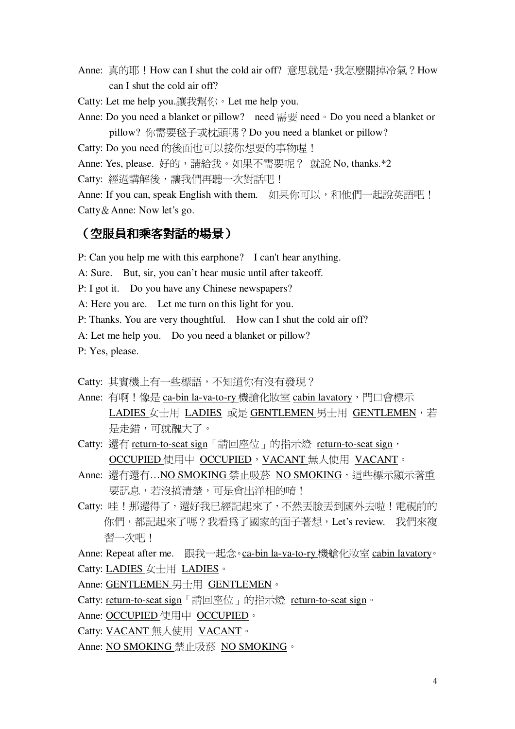- Anne: 真的耶!How can I shut the cold air off? 意思就是, 我怎麼關掉冷氣?How can I shut the cold air off?
- Catty: Let me help you.讓我幫你。Let me help you.
- Anne: Do you need a blanket or pillow? need 需要 need 。Do you need a blanket or pillow? 你需要毯子或枕頭嗎? Do you need a blanket or pillow?
- Catty: Do you need 的後面也可以接你想要的事物喔!
- Anne: Yes, please. 好的,請給我。如果不需要呢? 就說 No, thanks.\*2
- Catty: 經過講解後,讓我們再聽一次對話吧!

Anne: If you can, speak English with them. 如果你可以, 和他們一起說英語吧! Catty & Anne: Now let's go.

#### (空服員和乘客對話的場景)

- P: Can you help me with this earphone? I can't hear anything.
- A: Sure. But, sir, you can't hear music until after takeoff.
- P: I got it. Do you have any Chinese newspapers?
- A: Here you are. Let me turn on this light for you.
- P: Thanks. You are very thoughtful. How can I shut the cold air off?
- A: Let me help you. Do you need a blanket or pillow?
- P: Yes, please.

Catty: 其實機上有一些標語,不知道你有沒有發現?

- Anne: 有啊!像是 ca-bin la-va-to-ry 機艙化妝室 cabin lavatory,門口會標示 LADIES 女士用 LADIES 或是 GENTLEMEN 男士用 GENTLEMEN,若 是走錯,可就醜大了。
- Catty: 還有 return-to-seat sign「請回座位」的指示燈 return-to-seat sign, OCCUPIED 使用中 OCCUPIED, VACANT 無人使用 VACANT。
- Anne: 還有還有...NO SMOKING 禁止吸菸 NO SMOKING, 這些標示顯示著重 要訊息,若沒搞清楚,可是會出洋相的唷!
- Catty: 哇!那還得了,還好我已經記起來了,不然丟臉丟到國外去啦!電視前的 你們,都記起來了嗎?我看為了國家的面子著想, Let's review. 我們來複 習一次吧!
- Anne: Repeat after me. 跟我一起念。ca-bin la-va-to-ry 機艙化妝室 cabin lavatory。 Catty: LADIES 女十用 LADIES。
- Anne: GENTLEMEN 男十用 GENTLEMEN。
- Catty: return-to-seat sign「請回座位」的指示燈 return-to-seat sign。
- Anne: OCCUPIED 使用中 OCCUPIED。
- Catty: VACANT 無人使用 VACANT。
- Anne: NO SMOKING 禁止吸菸 NO SMOKING。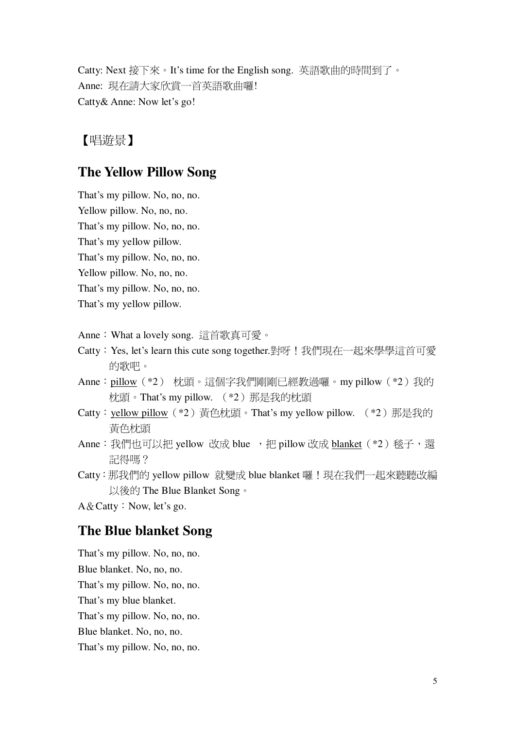Catty: Next 接下來。It's time for the English song. 英語歌曲的時間到了。 Anne: 現在請大家欣賞一首英語歌曲囉! Catty& Anne: Now let's go!

## 【唱遊景】

## **The Yellow Pillow Song**

That's my pillow. No, no, no.

Yellow pillow. No, no, no.

That's my pillow. No, no, no.

That's my yellow pillow.

That's my pillow. No, no, no.

Yellow pillow. No, no, no.

That's my pillow. No, no, no.

That's my yellow pillow.

Anne: What a lovely song. 這首歌真可愛。

- Catty: Yes, let's learn this cute song together.對呀!我們現在一起來學學這首可愛 的歌吧。
- Anne:pillow(\*2) 枕頭。這個字我們剛剛已經教過囉。my pillow(\*2)我的 枕頭。That's my pillow. (\*2) 那是我的枕頭
- Catty: yellow pillow (\*2) 黃色枕頭。That's my yellow pillow. (\*2) 那是我的 黃色枕頭
- Anne: 我們也可以把 yellow 改成 blue , 把 pillow 改成 blanket (\*2) 毯子, 還 記得嗎?
- Catty: 那我們的 yellow pillow 就變成 blue blanket 囉!現在我們一起來聽聽改編 以後的 The Blue Blanket Song。

 $A \& Catty : Now, let's go.$ 

### **The Blue blanket Song**

That's my pillow. No, no, no. Blue blanket. No, no, no. That's my pillow. No, no, no. That's my blue blanket. That's my pillow. No, no, no. Blue blanket. No, no, no. That's my pillow. No, no, no.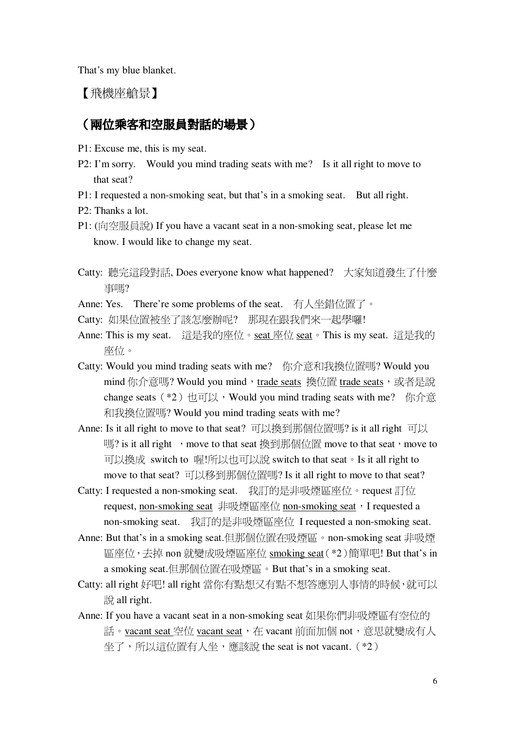That's my blue blanket.

【飛機座艙景】

#### (兩位乘客和空服員對話的場景)

- P1: Excuse me, this is my seat.
- P2: I'm sorry. Would you mind trading seats with me? Is it all right to move to that seat?
- P1: I requested a non-smoking seat, but that's in a smoking seat. But all right.
- P2: Thanks a lot.
- P1: (向空服員說) If you have a vacant seat in a non-smoking seat, please let me know. I would like to change my seat.
- Catty: 聽完這段對話, Does everyone know what happened? 大家知道發生了什麼 事嗎?
- Anne: Yes. There're some problems of the seat. 有人坐錯位置了。
- Catty: 如果位置被坐了該怎麼辦呢? 那現在跟我們來一起學囉!
- Anne: This is my seat. 這是我的座位。seat 座位 seat 。 This is my seat. 這是我的 座位。
- Catty: Would you mind trading seats with me? 你介意和我換位置嗎? Would you mind 你介意嗎? Would you mind, trade seats 換位置 trade seats, 或者是說 change seats  $(*2)$  也可以, Would you mind trading seats with me? 你介意 和我換位置嗎? Would you mind trading seats with me?
- Anne: Is it all right to move to that seat? 可以換到那個位置嗎? is it all right 可以 嗎? is it all right , move to that seat 換到那個位置 move to that seat, move to 可以換成 switch to 喔!所以也可以說 switch to that seat 。Is it all right to move to that seat? 可以移到那個位置嗎? Is it all right to move to that seat?
- Catty: I requested a non-smoking seat. 我訂的是非吸煙區座位。request 訂位 request, non-smoking seat 非吸煙區座位 non-smoking seat, I requested a non-smoking seat. 我訂的是非吸煙區座位 I requested a non-smoking seat.
- Anne: But that's in a smoking seat.但那個位置在吸煙區。non-smoking seat 非吸煙 區座位,去掉 non 就變成吸煙區座位 smoking seat (\*2)簡單吧! But that's in a smoking seat.但那個位置在吸煙區。But that's in a smoking seat.
- Catty: all right 好吧! all right 當你有點想又有點不想答應別人事情的時候, 就可以  $\frac{1}{2}$  all right.
- Anne: If you have a vacant seat in a non-smoking seat 如果你們非吸煙區有空位的 話。vacant seat 空位 vacant seat,在 vacant 前面加個 not,意思就變成有人 坐了,所以這位置有人坐,應該說 the seat is not vacant. (\*2)